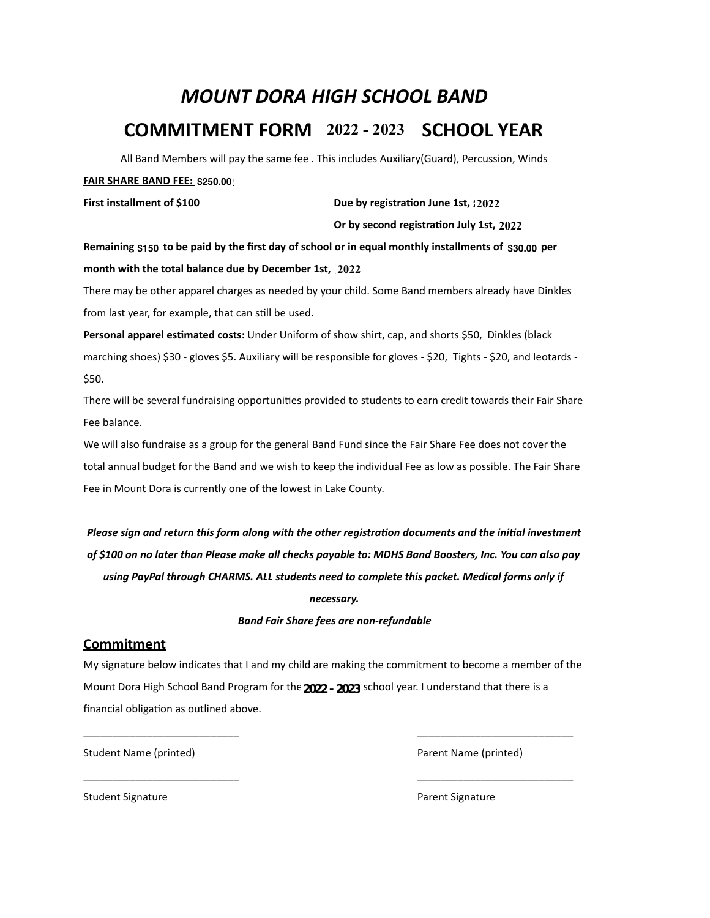# *MOUNT DORA HIGH SCHOOL BAND* **COMMITMENT FORM** 2022 - 2023 **SCHOOL YEAR**

All Band Members will pay the same fee . This includes Auxiliary(Guard), Percussion, Winds

### **FAIR SHARE BAND FEE: \$250.00**

**First installment of \$100 100 2021 2021 Due by registration June 1st, :2022** 

**Dr by second registration July 1st, 2022** 

Remaining \$150 to be paid by the first day of school or in equal monthly installments of \$30.00 per month with the total balance due by December 1st, 2022 **Due by registration June 1st, :2022<br>Dr by second registration July 1st, 2022<br>pr in equal monthly installments of \$30<br>2022** 

There may be other apparel charges as needed by your child. Some Band members already have Dinkles from last year, for example, that can still be used.

Personal apparel estimated costs: Under Uniform of show shirt, cap, and shorts \$50, Dinkles (black marching shoes) \$30 - gloves \$5. Auxiliary will be responsible for gloves - \$20, Tights - \$20, and leotards -\$50.

There will be several fundraising opportunities provided to students to earn credit towards their Fair Share Fee balance.

We will also fundraise as a group for the general Band Fund since the Fair Share Fee does not cover the total annual budget for the Band and we wish to keep the individual Fee as low as possible. The Fair Share Fee in Mount Dora is currently one of the lowest in Lake County.

*Please sign and return this form along with the other registration documents and the initial investment* of \$100 on no later than Please make all checks payable to: MDHS Band Boosters, Inc. You can also pay using PayPal through CHARMS. ALL students need to complete this packet. Medical forms only if *necessary.* 

### *Band Fair Share fees are non-refundable*

### **Commitment**

My signature below indicates that I and my child are making the commitment to become a member of the Mount Dora High School Band Program for the 2022 - 2023 school year. I understand that there is a financial obligation as outlined above.

 $\frac{1}{2}$  , and the set of the set of the set of the set of the set of the set of the set of the set of the set of the set of the set of the set of the set of the set of the set of the set of the set of the set of the set

 $\frac{1}{2}$  , and the set of the set of the set of the set of the set of the set of the set of the set of the set of the set of the set of the set of the set of the set of the set of the set of the set of the set of the set

Student Name (printed) and the control of the control of the Parent Name (printed) and the control of the control of the control of the control of the control of the control of the control of the control of the control of

Student Signature **Contract Contract Contract Contract Contract Contract Contract Contract Contract Contract Contract Contract Contract Contract Contract Contract Contract Contract Contract Contract Contract Contract Contr**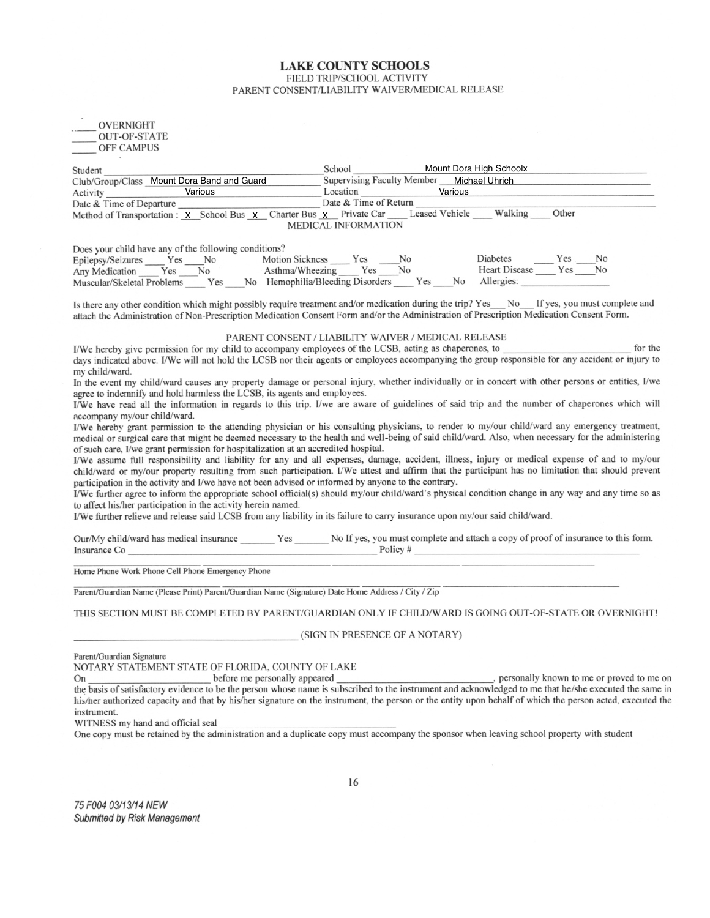#### **LAKE COUNTY SCHOOLS** FIELD TRIP/SCHOOL ACTIVITY PARENT CONSENT/LIABILITY WAIVER/MEDICAL RELEASE

| OVERNIGHT           |
|---------------------|
| <b>OUT-OF-STATE</b> |
| <b>OFF CAMPUS</b>   |

| Student                  |                                                                                    | School                            |                       | Mount Dora High Schoolx |       |
|--------------------------|------------------------------------------------------------------------------------|-----------------------------------|-----------------------|-------------------------|-------|
|                          | Club/Group/Class Mount Dora Band and Guard                                         | <b>Supervising Faculty Member</b> |                       | Michael Uhrich          |       |
| Activity                 | Various                                                                            | Location                          |                       | Various                 |       |
| Date & Time of Departure |                                                                                    | Date & Time of Return             |                       |                         |       |
|                          | Method of Transportation : $\chi$ School Bus $\chi$ Charter Bus $\chi$ Private Car |                                   | <b>Leased Vehicle</b> | Walking                 | Other |
|                          |                                                                                    | <b>MEDICAL INFORMATION</b>        |                       |                         |       |

Does your child have any of the following conditions?

| Does your child have any of the following echanomer |     |                                                    |                |  |                      |     |    |
|-----------------------------------------------------|-----|----------------------------------------------------|----------------|--|----------------------|-----|----|
| Epilepsy/Seizures Yes No                            |     | Motion Sickness Yes                                | N <sub>0</sub> |  | Diabetes             | Yes | No |
| Any Medication Yes No                               |     | Asthma/Wheezing Yes No                             |                |  | Heart Disease Yes No |     |    |
| Muscular/Skeletal Problems                          | Yes | No Hemophilia/Bleeding Disorders Yes No Allergies: |                |  |                      |     |    |

Is there any other condition which might possibly require treatment and/or medication during the trip? Yes No If yes, you must complete and attach the Administration of Non-Prescription Medication Consent Form and/or the Administration of Prescription Medication Consent Form.

#### PARENT CONSENT / LIABILITY WAIVER / MEDICAL RELEASE

I/We hereby give permission for my child to accompany employees of the LCSB, acting as chaperones, to for the days indicated above. I/We will not hold the LCSB nor their agents or employees accompanying the group responsible for any accident or injury to my child/ward.

In the event my child/ward causes any property damage or personal injury, whether individually or in concert with other persons or entities, I/we agree to indemnify and hold harmless the LCSB, its agents and employees.

I/We have read all the information in regards to this trip. I/we are aware of guidelines of said trip and the number of chaperones which will accompany my/our child/ward.

I/We hereby grant permission to the attending physician or his consulting physicians, to render to my/our child/ward any emergency treatment, medical or surgical care that might be deemed necessary to the health and well-being of said child/ward. Also, when necessary for the administering of such care, I/we grant permission for hospitalization at an accredited hospital.

I/We assume full responsibility and liability for any and all expenses, damage, accident, illness, injury or medical expense of and to my/our child/ward or my/our property resulting from such participation. I/We attest and affirm that the participant has no limitation that should prevent participation in the activity and I/we have not been advised or informed by anyone to the contrary.

I/We further agree to inform the appropriate school official(s) should my/our child/ward's physical condition change in any way and any time so as to affect his/her participation in the activity herein named.

I/We further relieve and release said LCSB from any liability in its failure to carry insurance upon my/our said child/ward.

Our/My child/ward has medical insurance \_\_\_\_\_\_\_ Yes \_\_\_\_\_\_ No If yes, you must complete and attach a copy of proof of insurance to this form. Policy  $#$ Insurance Co

Home Phone Work Phone Cell Phone Emergency Phone

Parent/Guardian Name (Please Print) Parent/Guardian Name (Signature) Date Home Address / City / Zip

THIS SECTION MUST BE COMPLETED BY PARENT/GUARDIAN ONLY IF CHILD/WARD IS GOING OUT-OF-STATE OR OVERNIGHT!

#### (SIGN IN PRESENCE OF A NOTARY)

Parent/Guardian Signature

NOTARY STATEMENT STATE OF FLORIDA, COUNTY OF LAKE

, personally known to me or proved to me on before me personally appeared On the basis of satisfactory evidence to be the person whose name is subscribed to the instrument and acknowledged to me that he/she executed the same in his/her authorized capacity and that by his/her signature on the instrument, the person or the entity upon behalf of which the person acted, executed the instrument.

WITNESS my hand and official seal

One copy must be retained by the administration and a duplicate copy must accompany the sponsor when leaving school property with student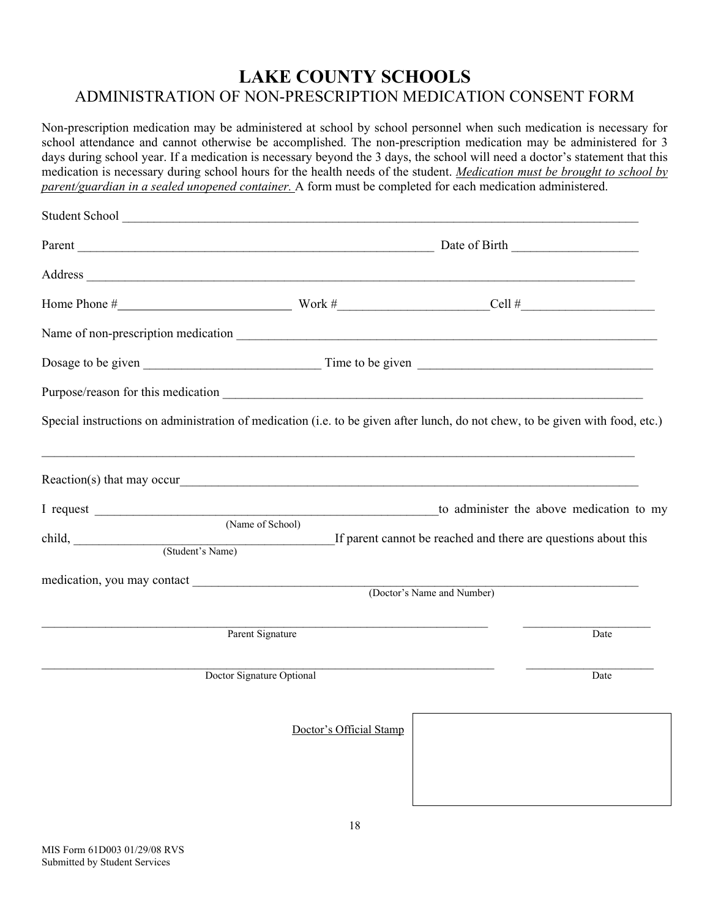## **LAKE COUNTY SCHOOLS**  ADMINISTRATION OF NON-PRESCRIPTION MEDICATION CONSENT FORM

Non-prescription medication may be administered at school by school personnel when such medication is necessary for school attendance and cannot otherwise be accomplished. The non-prescription medication may be administered for 3 days during school year. If a medication is necessary beyond the 3 days, the school will need a doctor's statement that this medication is necessary during school hours for the health needs of the student. *Medication must be brought to school by parent/guardian in a sealed unopened container.* A form must be completed for each medication administered.

| Student School                                                                                                                                                                                                                                           |                            |                                          |  |  |  |
|----------------------------------------------------------------------------------------------------------------------------------------------------------------------------------------------------------------------------------------------------------|----------------------------|------------------------------------------|--|--|--|
|                                                                                                                                                                                                                                                          |                            |                                          |  |  |  |
| Address and the contract of the contract of the contract of the contract of the contract of the contract of the contract of the contract of the contract of the contract of the contract of the contract of the contract of th                           |                            |                                          |  |  |  |
|                                                                                                                                                                                                                                                          |                            |                                          |  |  |  |
|                                                                                                                                                                                                                                                          |                            |                                          |  |  |  |
|                                                                                                                                                                                                                                                          |                            |                                          |  |  |  |
| Purpose/reason for this medication                                                                                                                                                                                                                       |                            |                                          |  |  |  |
| Special instructions on administration of medication (i.e. to be given after lunch, do not chew, to be given with food, etc.)                                                                                                                            |                            |                                          |  |  |  |
|                                                                                                                                                                                                                                                          |                            |                                          |  |  |  |
|                                                                                                                                                                                                                                                          |                            | to administer the above medication to my |  |  |  |
| (Name of School)<br>child, <u>Child</u> , Child, Child, Child, Child, Child, Child, Child, Child, Child, Child, Child, Child, Child, Child, Child, Child, Child, Child, Child, Child, Child, Child, Child, Child, Child, Child, Child, Child, Child, Chi |                            |                                          |  |  |  |
|                                                                                                                                                                                                                                                          | (Doctor's Name and Number) |                                          |  |  |  |
|                                                                                                                                                                                                                                                          |                            |                                          |  |  |  |
| Parent Signature                                                                                                                                                                                                                                         |                            | Date                                     |  |  |  |
| Doctor Signature Optional                                                                                                                                                                                                                                |                            | Date                                     |  |  |  |
| Doctor's Official Stamp                                                                                                                                                                                                                                  |                            |                                          |  |  |  |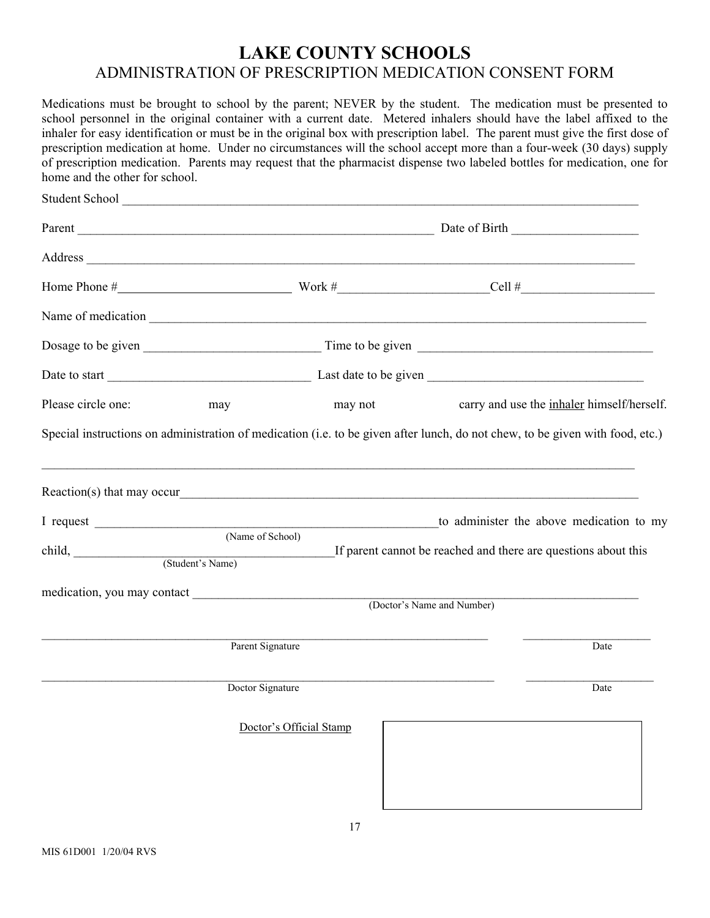## **LAKE COUNTY SCHOOLS**  ADMINISTRATION OF PRESCRIPTION MEDICATION CONSENT FORM

Medications must be brought to school by the parent; NEVER by the student. The medication must be presented to school personnel in the original container with a current date. Metered inhalers should have the label affixed to the inhaler for easy identification or must be in the original box with prescription label. The parent must give the first dose of prescription medication at home. Under no circumstances will the school accept more than a four-week (30 days) supply of prescription medication. Parents may request that the pharmacist dispense two labeled bottles for medication, one for home and the other for school.

|                         |                  | Student School                                                                                                        |                                                                                                                                                                                                                                |  |
|-------------------------|------------------|-----------------------------------------------------------------------------------------------------------------------|--------------------------------------------------------------------------------------------------------------------------------------------------------------------------------------------------------------------------------|--|
|                         |                  |                                                                                                                       |                                                                                                                                                                                                                                |  |
|                         |                  |                                                                                                                       | Address and the contract of the contract of the contract of the contract of the contract of the contract of the contract of the contract of the contract of the contract of the contract of the contract of the contract of th |  |
|                         |                  |                                                                                                                       |                                                                                                                                                                                                                                |  |
|                         |                  |                                                                                                                       |                                                                                                                                                                                                                                |  |
|                         |                  |                                                                                                                       |                                                                                                                                                                                                                                |  |
|                         |                  |                                                                                                                       |                                                                                                                                                                                                                                |  |
| Please circle one:      | may              | may not                                                                                                               | carry and use the inhaler himself/herself.                                                                                                                                                                                     |  |
|                         |                  |                                                                                                                       | Special instructions on administration of medication (i.e. to be given after lunch, do not chew, to be given with food, etc.)                                                                                                  |  |
| I request               |                  |                                                                                                                       | to administer the above medication to my                                                                                                                                                                                       |  |
| child, (Student's Name) | (Name of School) | <u> La componenta de la componenta de la componenta de la componenta de la componenta de la componenta de la comp</u> | If parent cannot be reached and there are questions about this                                                                                                                                                                 |  |
|                         |                  |                                                                                                                       | (Doctor's Name and Number)                                                                                                                                                                                                     |  |
|                         | Parent Signature |                                                                                                                       | Date                                                                                                                                                                                                                           |  |
|                         | Doctor Signature |                                                                                                                       | Date                                                                                                                                                                                                                           |  |
|                         |                  | Doctor's Official Stamp                                                                                               |                                                                                                                                                                                                                                |  |